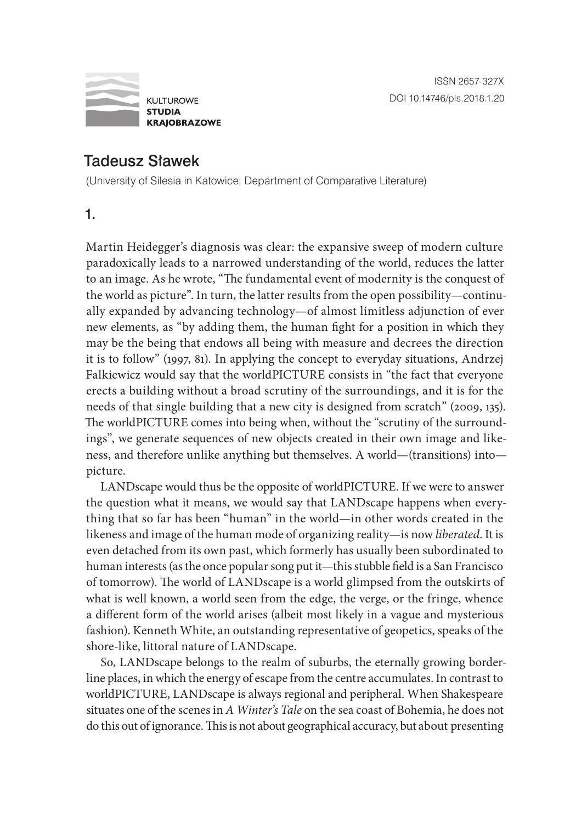

# Tadeusz Sławek

(University of Silesia in Katowice; Department of Comparative Literature)

1.

Martin Heidegger's diagnosis was clear: the expansive sweep of modern culture paradoxically leads to a narrowed understanding of the world, reduces the latter to an image. As he wrote, "The fundamental event of modernity is the conquest of the world as picture". In turn, the latter results from the open possibility—continually expanded by advancing technology—of almost limitless adjunction of ever new elements, as "by adding them, the human fight for a position in which they may be the being that endows all being with measure and decrees the direction it is to follow" (1997, 81). In applying the concept to everyday situations, Andrzej Falkiewicz would say that the worldPICTURE consists in "the fact that everyone erects a building without a broad scrutiny of the surroundings, and it is for the needs of that single building that a new city is designed from scratch" (2009, 135). The worldPICTURE comes into being when, without the "scrutiny of the surroundings", we generate sequences of new objects created in their own image and likeness, and therefore unlike anything but themselves. A world—(transitions) into picture.

LANDscape would thus be the opposite of worldPICTURE. If we were to answer the question what it means, we would say that LANDscape happens when everything that so far has been "human" in the world—in other words created in the likeness and image of the human mode of organizing reality—is now *liberated*. It is even detached from its own past, which formerly has usually been subordinated to human interests (as the once popular song put it—this stubble field is a San Francisco of tomorrow). The world of LANDscape is a world glimpsed from the outskirts of what is well known, a world seen from the edge, the verge, or the fringe, whence a different form of the world arises (albeit most likely in a vague and mysterious fashion). Kenneth White, an outstanding representative of geopetics, speaks of the shore-like, littoral nature of LANDscape.

So, LANDscape belongs to the realm of suburbs, the eternally growing borderline places, in which the energy of escape from the centre accumulates. In contrast to worldPICTURE, LANDscape is always regional and peripheral. When Shakespeare situates one of the scenes in *A Winter's Tale* on the sea coast of Bohemia, he does not do this out of ignorance. This is not about geographical accuracy, but about presenting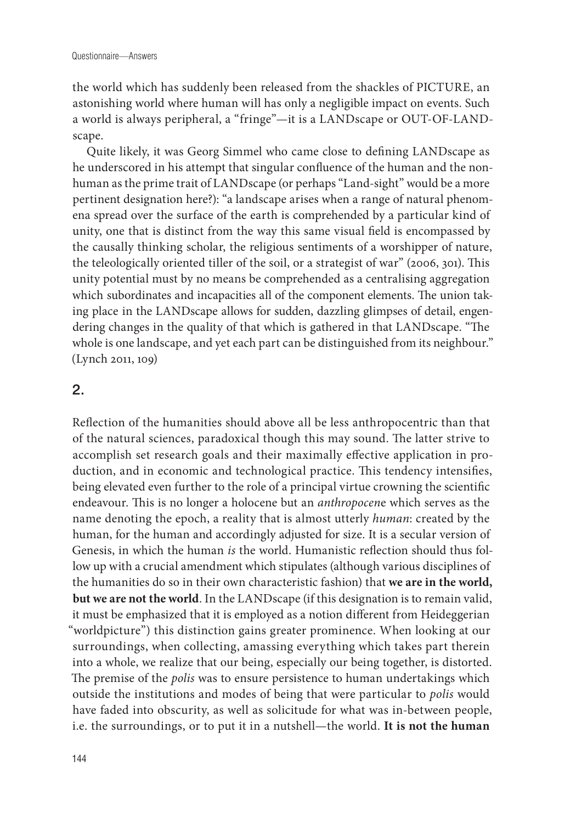the world which has suddenly been released from the shackles of PICTURE, an astonishing world where human will has only a negligible impact on events. Such a world is always peripheral, a "fringe"—it is a LANDscape or OUT-OF-LANDscape.

Quite likely, it was Georg Simmel who came close to defining LANDscape as he underscored in his attempt that singular confluence of the human and the nonhuman as the prime trait of LANDscape (or perhaps "Land-sight" would be a more pertinent designation here?): "a landscape arises when a range of natural phenomena spread over the surface of the earth is comprehended by a particular kind of unity, one that is distinct from the way this same visual field is encompassed by the causally thinking scholar, the religious sentiments of a worshipper of nature, the teleologically oriented tiller of the soil, or a strategist of war" (2006, 301). This unity potential must by no means be comprehended as a centralising aggregation which subordinates and incapacities all of the component elements. The union taking place in the LANDscape allows for sudden, dazzling glimpses of detail, engendering changes in the quality of that which is gathered in that LANDscape. "The whole is one landscape, and yet each part can be distinguished from its neighbour." (Lynch 2011, 109)

#### 2.

Reflection of the humanities should above all be less anthropocentric than that of the natural sciences, paradoxical though this may sound. The latter strive to accomplish set research goals and their maximally effective application in production, and in economic and technological practice. This tendency intensifies, being elevated even further to the role of a principal virtue crowning the scientific endeavour. This is no longer a holocene but an *anthropocen*e which serves as the name denoting the epoch, a reality that is almost utterly *human*: created by the human, for the human and accordingly adjusted for size. It is a secular version of Genesis, in which the human *is* the world. Humanistic reflection should thus follow up with a crucial amendment which stipulates (although various disciplines of the humanities do so in their own characteristic fashion) that **we are in the world, but we are not the world**. In the LANDscape (if this designation is to remain valid, it must be emphasized that it is employed as a notion different from Heideggerian "worldpicture") this distinction gains greater prominence. When looking at our surroundings, when collecting, amassing everything which takes part therein into a whole, we realize that our being, especially our being together, is distorted. The premise of the *polis* was to ensure persistence to human undertakings which outside the institutions and modes of being that were particular to *polis* would have faded into obscurity, as well as solicitude for what was in-between people, i.e. the surroundings, or to put it in a nutshell—the world. **It is not the human**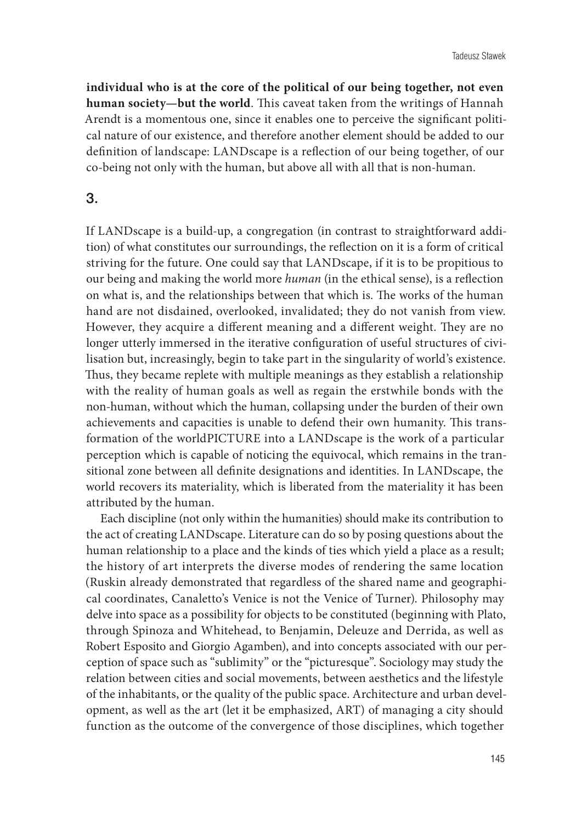**individual who is at the core of the political of our being together, not even human society—but the world**. This caveat taken from the writings of Hannah Arendt is a momentous one, since it enables one to perceive the significant political nature of our existence, and therefore another element should be added to our definition of landscape: LANDscape is a reflection of our being together, of our co-being not only with the human, but above all with all that is non-human.

### 3.

If LANDscape is a build-up, a congregation (in contrast to straightforward addition) of what constitutes our surroundings, the reflection on it is a form of critical striving for the future. One could say that LANDscape, if it is to be propitious to our being and making the world more *human* (in the ethical sense), is a reflection on what is, and the relationships between that which is. The works of the human hand are not disdained, overlooked, invalidated; they do not vanish from view. However, they acquire a different meaning and a different weight. They are no longer utterly immersed in the iterative configuration of useful structures of civilisation but, increasingly, begin to take part in the singularity of world's existence. Thus, they became replete with multiple meanings as they establish a relationship with the reality of human goals as well as regain the erstwhile bonds with the non-human, without which the human, collapsing under the burden of their own achievements and capacities is unable to defend their own humanity. This transformation of the worldPICTURE into a LANDscape is the work of a particular perception which is capable of noticing the equivocal, which remains in the transitional zone between all definite designations and identities. In LANDscape, the world recovers its materiality, which is liberated from the materiality it has been attributed by the human.

Each discipline (not only within the humanities) should make its contribution to the act of creating LANDscape. Literature can do so by posing questions about the human relationship to a place and the kinds of ties which yield a place as a result; the history of art interprets the diverse modes of rendering the same location (Ruskin already demonstrated that regardless of the shared name and geographical coordinates, Canaletto's Venice is not the Venice of Turner). Philosophy may delve into space as a possibility for objects to be constituted (beginning with Plato, through Spinoza and Whitehead, to Benjamin, Deleuze and Derrida, as well as Robert Esposito and Giorgio Agamben), and into concepts associated with our perception of space such as "sublimity" or the "picturesque". Sociology may study the relation between cities and social movements, between aesthetics and the lifestyle of the inhabitants, or the quality of the public space. Architecture and urban development, as well as the art (let it be emphasized, ART) of managing a city should function as the outcome of the convergence of those disciplines, which together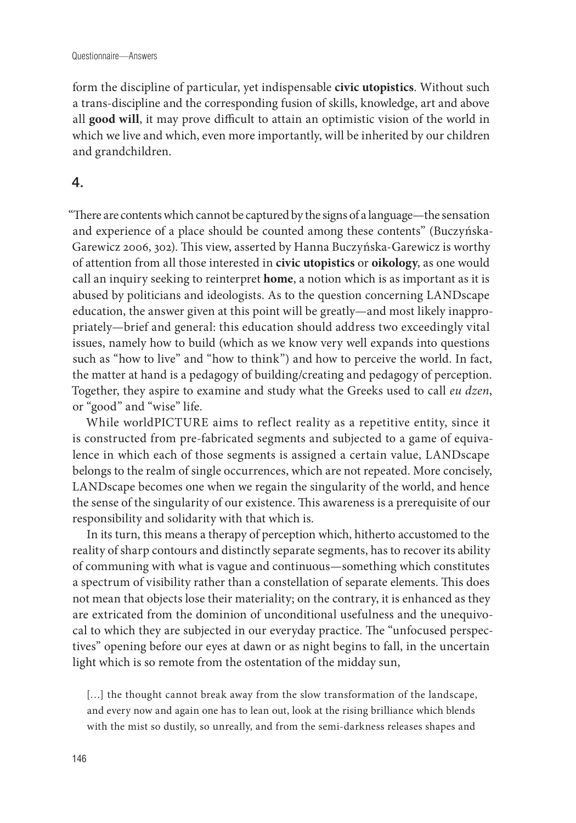form the discipline of particular, yet indispensable **civic utopistics**. Without such a trans-discipline and the corresponding fusion of skills, knowledge, art and above all **good will**, it may prove difficult to attain an optimistic vision of the world in which we live and which, even more importantly, will be inherited by our children and grandchildren.

## 4.

"There are contents which cannot be captured by the signs of a language—the sensation and experience of a place should be counted among these contents" (Buczyńska-Garewicz 2006, 302). This view, asserted by Hanna Buczyńska-Garewicz is worthy of attention from all those interested in **civic utopistics** or **oikology**, as one would call an inquiry seeking to reinterpret **home**, a notion which is as important as it is abused by politicians and ideologists. As to the question concerning LANDscape education, the answer given at this point will be greatly—and most likely inappropriately—brief and general: this education should address two exceedingly vital issues, namely how to build (which as we know very well expands into questions such as "how to live" and "how to think") and how to perceive the world. In fact, the matter at hand is a pedagogy of building/creating and pedagogy of perception. Together, they aspire to examine and study what the Greeks used to call *eu dzen*, or "good" and "wise" life.

While worldPICTURE aims to reflect reality as a repetitive entity, since it is constructed from pre-fabricated segments and subjected to a game of equivalence in which each of those segments is assigned a certain value, LANDscape belongs to the realm of single occurrences, which are not repeated. More concisely, LANDscape becomes one when we regain the singularity of the world, and hence the sense of the singularity of our existence. This awareness is a prerequisite of our responsibility and solidarity with that which is.

In its turn, this means a therapy of perception which, hitherto accustomed to the reality of sharp contours and distinctly separate segments, has to recover its ability of communing with what is vague and continuous—something which constitutes a spectrum of visibility rather than a constellation of separate elements. This does not mean that objects lose their materiality; on the contrary, it is enhanced as they are extricated from the dominion of unconditional usefulness and the unequivocal to which they are subjected in our everyday practice. The "unfocused perspectives" opening before our eyes at dawn or as night begins to fall, in the uncertain light which is so remote from the ostentation of the midday sun,

[...] the thought cannot break away from the slow transformation of the landscape, and every now and again one has to lean out, look at the rising brilliance which blends with the mist so dustily, so unreally, and from the semi-darkness releases shapes and